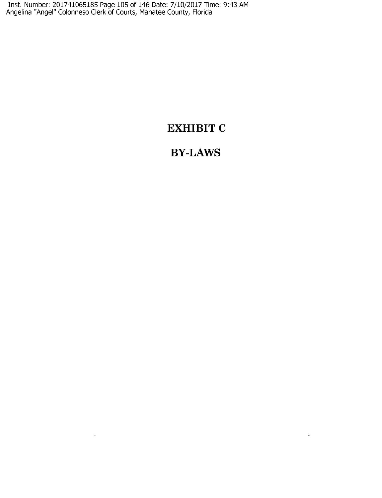Inst. Number: 201741065185 Page 105 of 146 Date: 7/10/2017 Time: 9:43 AM Angelina "Angel" Colonneso Clerk of Courts, Manatee County, Florida

 $\mathcal{L}(\mathbf{X})$  and  $\mathcal{L}(\mathbf{X})$  . The  $\mathcal{L}(\mathbf{X})$ 

## **EXHIBIT C**

# **BY-LAWS**

 $\Delta \sim 10^4$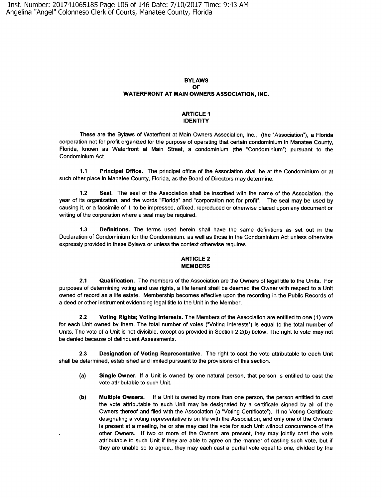Inst. Number: 201741065185 Page 106 of 146 Date: 7/10/2017 Time: 9:43 AM Angelina "Angel" Colonneso Clerk of Courts, Manatee County, Florida

#### **BYLAWS OF WATERFRONT AT MAIN OWNERS ASSOCIATION, INC.**

#### **ARTICLE 1 IDENTITY**

These are the Bylaws of Waterfront at Main Owners Association, Inc., (the "Association"), a Florida corporation not for profit organized for the purpose of operating that certain condominium in Manatee County, Florida, known as Waterfront at Main Street, a condominium (the "Condominium") pursuant to the Condominium Act.

**1.1 Principal Office.** The principal office of the Association shall be at the Condominium or at such other place in Manatee County, Florida, as the Board of Directors may determine.

**1.2 Seal.** The seal of the Association shall be inscribed with the name of the Association, the year of its organization, and the words "Florida" and "corporation not for profit". The seal may be used by causing it, or a facsimile of it, to be impressed, affixed, reproduced or otherwise placed upon any document or writing of the corporation where a seal may be required.

**1.3 Definitions.** The terms used herein shall have the same definitions as set out in the Declaration of Condominium for the Condominium, as well as those in the Condominium Act unless otherwise expressly provided in these Bylaws or unless the context otherwise requires.

## **ARTICLE 2 MEMBERS**

**2.1 Qualification.** The members of the Association are the Owners of legal title to the Units. For purposes of determining voting and use rights, a life tenant shall be deemed the Owner with respect to a Unit owned of record as a life estate. Membership becomes effective upon the recording in the Public Records of a deed or other instrument evidencing legal title to the Unit in the Member.

**2.2 Voting Rights; Voting Interests.** The Members of the Association are entitled to one (1) vote for each Unit owned by them. The total number of votes ("Voting Interests") is equal to the total number of Units. The vote of a Unit is not divisible, except as provided in Section 2.2(b) below. The right to vote may not be denied because of delinquent Assessments.

**2.3 Designation of Voting Representative.** The right to cast the vote attributable to each Unit shall be determined, established and limited pursuant to the provisions of this section.

- **(a) Single Owner.** If a Unit is owned by one natural person, that person is entitled to cast the vote attributable to such Unit.
- **(b) Multiple Owners.** If a Unit is owned by more than one person, the person entitled to cast the vote attributable to such Unit may be designated by a certificate signed by all of the Owners thereof and filed with the Association (a "Voting Certificate"). If no Voting Certificate designating a voting representative is on file with the Association, and only one of the Owners is present at a meeting, he or she may cast the vote for such Unit without concurrence of the other Owners. If two or more of the Owners are present, they may jointly cast the vote attributable to such Unit if they are able to agree on the manner of casting such vote, but if they are unable so to agree,, they may each cast a partial vote equal to one, divided by the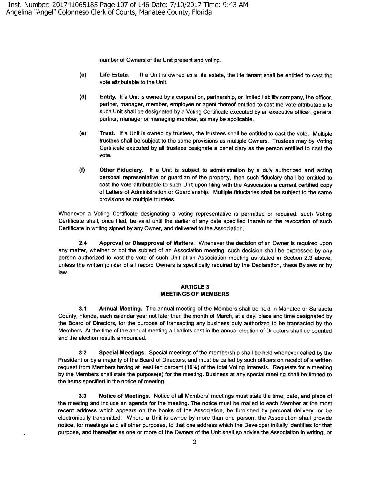number of Owners of the Unit present and voting.

- **(c) Life Estate.** If a Unit is owned as a life estate, the life tenant shall be entitled to cast the vote attributable to the Unit.
- **(d) Entity.** If a Unit is owned by a corporation, partnership, or limited liability company, the officer, partner, manager, member, employee or agent thereof entitled to cast the vote attributable to such Unit shall be designated by a Voting Certificate executed by an executive officer, general partner, manager or managing member, as may be applicable.
- **(e) Trust.** If a Unit is owned by trustees, the trustees shall be entitled to cast the vote. Multiple trustees shall be subject to the same provisions as multiple Owners. Trustees may by Voting Certificate executed by all trustees designate a beneficiary as the person entitled to cast the vote.
- **(f) Other Fiduciary.** If a Unit is subject to administration by a duly authorized and acting personal representative or guardian of the property, then such fiduciary shall be entitled to cast the vote attributable to such Unit upon filing with the Association a current certified copy of Letters of Administration or Guardianship. Multiple fiduciaries shall be subject to the same provisions as multiple trustees.

Whenever a Voting Certificate designating a voting representative is permitted or required, such Voting Certificate shall, once filed, be valid until the earlier of any date specified therein or the revocation of such Certificate in writing signed by any Owner, and delivered to the Association.

**2.4 Approval or Disapproval of Matters.** Whenever the decision of an Owner is required upon any matter, whether or not the subject of an Association meeting, such decision shall be expressed by any person authorized to cast the vote of such Unit at an Association meeting as stated in Section 2.3 above, unless the written joinder of all record Owners is specifically required by the Declaration, these Bylaws or by law.

## **ARTICLE3 MEETINGS OF MEMBERS**

**3.1 Annual Meeting.** The annual meeting of the Members shall be held in Manatee or Sarasota County, Florida, each calendar year not later than the month of March, at a day, place and time designated by the Board of Directors, for the purpose of transacting any business duly authorized to be transacted by the Members. At the time of the annual meeting all ballots cast in the annual election of Directors shall be counted and the election results announced.

**3.2 Special Meetings.** Special meetings of the membership shall be held whenever called by the President or by a majority of the Board of Directors, and must be called by such officers on receipt of a written request from Members having at least ten percent (10%) of the total Voting Interests. Requests for a meeting by the Members shall state the purpose(s) for the meeting. Business at any special meeting shall be limited to the items specified in the notice of meeting.

**3.3 Notice of Meetings.** Notice of all Members' meetings must state the time, date, and place of the meeting and include an agenda for the meeting. The notice must be mailed to each Member at the most recent address which appears on the books of the Association, be furnished by personal delivery, or be electronically transmitted. Where a Unit is owned by more than one person, the Association shall provide notice, for meetings and all other purposes, to that one address which the Developer initially identifies for that purpose, and thereafter as one or more of the Owners of the Unit shall so advise the Association in writing, or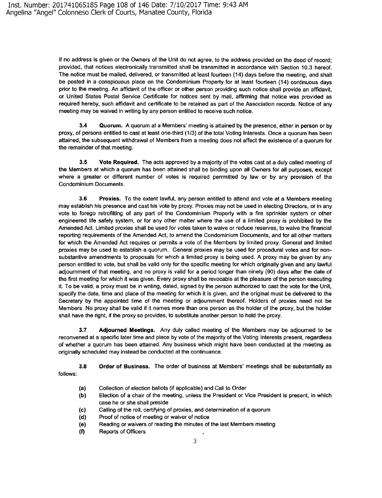if no address is given or the Owners of the Unit do not agree, to the address provided on the deed of record; provided, that notices electronically transmitted shall be transmitted in accordance with Section 10.3 hereof. The notice must be mailed, delivered, or transmitted at least fourteen (14) days before the meeting, and shall be posted in a conspicuous place on the Condominium Property for at least fourteen (14) continuous days prior to the meeting. An affidavit of the officer or other person providing such notice shall provide an affidavit, or United States Postal Service Certificate for notices sent by mail, affirming that notice was provided as required hereby, such affidavit and certificate to be retained as part of the Association records. Notice of any meeting may be waived in writing by any person entitled to receive such notice.

**3.4 Quorum.** A quorum at a Members' meeting is attained by the presence, either in person or by proxy, of persons entitled to cast at least one-third (1/3) of the total Voting Interests. Once a quorum has been attained, the subsequent withdrawal of Members from a meeting does not affect the existence of a quorum for the remainder of that meeting.

**3.5 Vote Required.** The acts approved by a majority of the votes cast at a duly called meeting of the Members at which a quorum has been attained shall be binding upon all Owners for all purposes, except where a greater or different number of votes is required perrmitted by law or by any provision of the Condominium Documents.

**3.6 Proxies.** To the extent lawful, any person entitled to attend and vote at a Members meeting may establish his presence and cast his vote by proxy. Proxies may not be used in electing Directors, or in any vote to forego retrofitting of any part of the Condominium Property with a fire sprinkler system or other engineered life safety system, or for any other matter where the use of a limited proxy is prohibited by the Amended Act. Limited proxies shall be used for votes taken to waive or reduce reserves, to waive the financial reporting requirements of the Amended Act, to amend the Condominium Documents, and for all other matters for which the Amended Act requires or permits a vote of the Members by limited proxy. General and limited proxies may be used to establish a quorum. General proxies may be used for procedural votes and for nonsubstantive amendments to proposals for which a limited proxy is being used. A proxy may be given by any person entitled to vote, but shall be valid only for the specific meeting for which originally given and any lawful adjournment of that meeting, and no proxy is valid for a period longer than ninety (90) days after the date of the first meeting for which it was given. Every proxy shall be revocable at the pleasure of the person executing it. To be valid, a proxy must be in writing, dated, signed by the person authorized to cast the vote for the Unit, specify the date, time and place of the meeting for which it is given, and the original must be delivered to the Secretary by the appointed time of the meeting or adjournment thereof. Holders of proxies need not be Members. No proxy shall be valid if it names more than one person as the holder of the proxy, but the holder shall have the right, if the proxy so provides, to substitute another person to hold the proxy.

**3.7 Adjourned Meetings.** Any duly called meeting of the Members may be adjourned to be reconvened at a specific later time and place by vote of the majority of the Voting Interests present, regardless of whether a quorum has been attained. Any business which might have been conducted at the meeting as originally scheduled may instead be conducted at the continuance.

**3.8**  follows: **Order of Business.** The order of business at Members' meetings shall be substantially as

- **(a)**  Collection of election ballots (if applicable) and Call to Order
- (b) Election of a chair of the meeting, unless the President or Vice President is present, in which case he or she shall preside
- (c) Calling of the roll, certifying of proxies, and determination of a quorum
- (d) Proof of notice of meeting or waiver of notice
- **(e)**  Reading or waivers of reading the minutes of the last Members meeting
- (f) Reports of Officers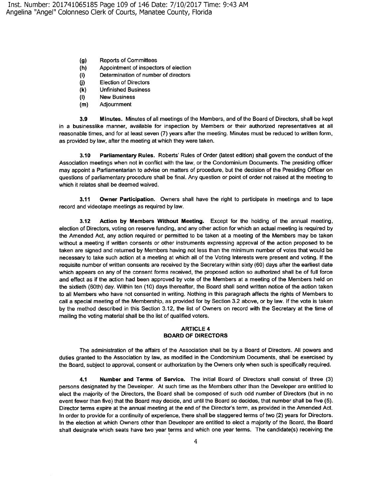- **(g)** Reports of Committees
- **(h)** Appointment of inspectors of election
- (i) Determination of number of directors
- **(j)** Election of Directors
- **(k)** Unfinished Business
- **(1) New** Business
- **(m)** Adjournment

**3.9 Minutes.** Minutes of all meetings of the Members, and of the Board of Directors, shall be kept in a businesslike manner, available for inspection by Members or their authorized representatives at all reasonable times, and for at least seven (7) years after the meeting. Minutes must be reduced to written form, as provided by law, after the meeting at which they were taken.

**3.1 O Parliamentary Rules.** Roberts' Rules of Order (latest edition) shall govern the conduct of the Association meetings when not in conflict with the law, or the Condominium Documents. The presiding officer may appoint a Parliamentarian to advise on matters of procedure, but the decision of the Presiding Officer on questions of parliamentary procedure shall be final. Any question or point of order not raised at the meeting to which it relates shall be deemed waived.

**3.11 Owner Participation.** Owners shall have the right to participate in meetings and to tape record and videotape meetings as required by law.

**3.12 Action by Members Without Meeting.** Except for the holding of the annual meeting, election of Directors, voting on reserve funding, and any other action for which an actual meeting is required by the Amended Act, any action required or permitted to be taken at a meeting of the Members may be taken without a meeting if written consents or other instruments expressing approval of the action proposed to be taken are signed and returned by Members having not less than the minimum number of votes that would be necessary to take such action at a meeting at which all of the Voting Interests were present and voting. If the requisite number of written consents are received by the Secretary within sixty (60) days after the earliest date which appears on any of the consent forms received, the proposed action so authorized shall be of full force and effect as if the action had been approved by vote of the Members at a meeting of the Members held on the sixtieth (60th) day. Within ten (10) days thereafter, the Board shall send written notice of the action taken to all Members who have not consented in writing. Nothing in this paragraph affects the rights of Members to call a special meeting of the Membership, as provided for by Section 3.2 above, or by law. If the vote is taken by the method described in this Section 3.12, the list of Owners on record with the Secretary at the time of mailing the voting material shall be the list of qualified voters.

#### **ARTICLE4 BOARD OF DIRECTORS**

The administration of the affairs of the Association shall be by a Board of Directors. All powers and duties granted to the Association by law, as modified in the Condominium Documents, shall be exercised by the Board, subject to approval, consent or authorization by the Owners only when such is specifically required.

**4.1 Number and Terms of Service.** The initial Board of Directors shall consist of three (3) persons designated by the Developer. At such time as the Members other than the Developer are entitled to elect the majority of the Directors, the Board shall be composed of such odd number of Directors (but in no event fewer than five) that the Board may decide, and until the Board so decides, that number shall be five (5). Director terms expire at the annual meeting at the end of the Director's term, as provided in the Amended Act. In order to provide for a continuity of experience, there shall be staggered terms of two (2) years for Directors. In the election at which Owners other than Developer are entitled to elect a majority of the Board, the Board shall designate which seats have two year terms and which one year terms. The candidate(s) receiving the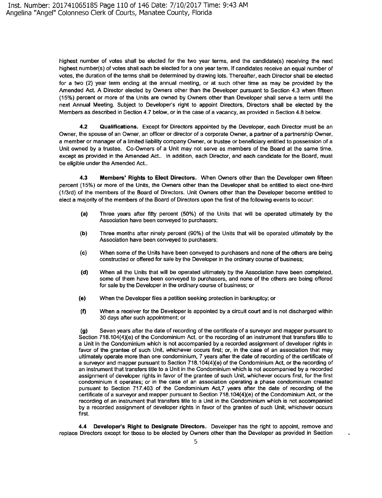highest number of votes shall be elected for the two year terms, and the candidate(s) receiving the next highest number(s) of votes shall each be elected for a one year term. If candidates receive an equal number of votes, the duration of the terms shall be determined by drawing lots. Thereafter, each Director shall be elected for a two (2) year term ending at the annual meeting, or at such other time as may be provided by the Amended Act. A Director elected by Owners other than the Developer pursuant to Section 4.3 when fifteen (15%) percent or more of the Units are owned by Owners other than Developer shall serve a term until the next Annual Meeting. Subject to Developer's right to appoint Directors, Directors shall be elected by the Members as described in Section 4.7 below, or in the case of a vacancy, as provided in Section 4.8 below.

**4.2 Qualifications.** Except for Directors appointed by the Developer, each Director must be an Owner, the spouse of an Owner, an officer or director of a corporate Owner, a partner of a partnership Owner, a member or manager of a limited liability company Owner, or trustee or beneficiary entitled to possession of a Unit owned by a trustee. Co-Owners of a Unit may not serve as members of the Board at the same time, except as provided in the Amended Act.. In addition, each Director, and each candidate for the Board, must be eligible under the Amended Act..

**4.3 Members' Rights to Elect Directors.** When Owners other than the Developer own fifteen percent (15%) or more of the Units, the Owners other than the Developer shall be entitled to elect one-third (113rd) of the members of the Board of Directors. Unit Owners other than the Developer become entitled to elect a majority of the members of the Board of Directors upon the first of the following events to occur:

- (a) Three years after fifty percent (50%) of the Units that will be operated ultimately by the Association have been conveyed to purchasers;
- **(b)** Three months after ninety percent (90%) of the Units that will be operated ultimately by the Association have been conveyed to purchasers;
- **(c)** When some of the Units have been conveyed to purchasers and none of the others are being constructed or offered for sale by the Developer in the ordinary course of business;
- **{d)** When all the Units that will be operated ultimately by the Association have been completed, some of them have been conveyed to purchasers, and none of the others are being offered for sale by the Developer in the ordinary course of business; or
- **(e)** When the Developer files a petition seeking protection in bankruptcy; or
- **(f)** When a receiver for the Developer is appointed by a circuit court and is not discharged within 30 days after such appointment; or

**(g)** Seven years after the date of recording of the certificate of a surveyor and mapper pursuant to Section 718.104(4)(e) of the Condominium Act, or the recording of an instrument that transfers title to a Unit in the Condominium which is not accompanied by a recorded assignment of developer rights in favor of the grantee of such Unit, whichever occurs first; or, in the case of an association that may ultimately operate more than one condominium, 7 years after the date of recording of the certificate of a surveyor and mapper pursuant to Section 718.104(4)(e) of the Condominium Act, or the recording of an instrument that transfers title to a Unit in the Condominium which is not accompanied by a recorded assignment of developer rights in favor of the grantee of such Unit, whichever occurs first, for the first condominium it operates; or in the case of an association operating a phase condominium created pursuant to Section 717.403 of the Condominium Act,7 years after the date of recording of the certificate of a surveyor and mapper pursuant to Section  $718.104(4)(e)$  of the Condominium Act, or the recording of an instrument that transfers title to a Unit in the Condominium which is not accompanied by a recorded assignment of developer rights in favor of the grantee of such Unit, whichever occurs first.

**4.4 Developer's Right to Designate Directors.** Developer has the right to appoint, remove and replace Directors except for tbose to be elected by Owners other than the Developer as provided in Section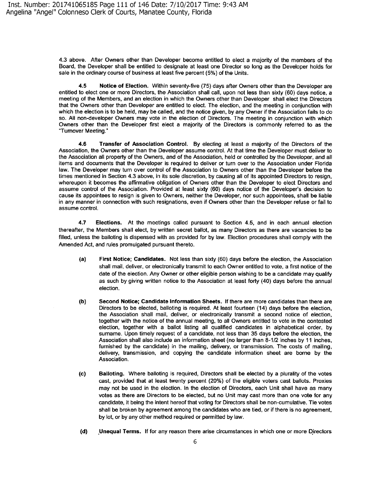4.3 above. After Owners other than Developer become entitled to elect a majority of the members of the Board, the Developer shall be entitled to designate at least one Director so long as the Developer holds for sale in the ordinary course of business at least five percent (5%) of the Units.

**4.5 Notice of Election.** Within seventy-five (75) days after Owners other than the Developer are entitled to elect one or more Directors, the Association shall call, upon not less than sixty (60) days notice, a meeting of the Members, and an election in which the Owners other than Developer shall elect the Directors that the Owners other than Developer are entitled to elect. The election, and the meeting in conjunction with which the election is to be held, may be called, and the notice given, by any Owner if the Association fails to do so. All non-developer Owners may vote in the election of Directors. The meeting in conjunction with which Owners other than the Developer first elect a majority of the Directors is commonly referred to as the "Turnover Meeting.·

**4.6 Transfer of Association Control.** By electing at least a majority of the Directors of the Association, the Owners other than the Developer assume control. At that time the Developer must deliver to the Association all property of the Owners, and of the Association, held or controlled by the Developer, and all items and documents that the Developer is required to deliver or turn over to the Association under Florida law. The Developer may turn over control of the Association to Owners other than the Developer before the times mentioned in Section 4.3 above, in its sole discretion, by causing all of its appointed Directors to resign, whereupon it becomes the affirmative obligation of Owners other than the Developer to elect Directors and assume control of the Association. Provided at least sixty (60) days notice of the Developer's decision to cause its appointees to resign is given to Owners, neither the Developer, nor such appointees, shall be liable in any manner in connection with such resignations, even if Owners other than the Developer refuse or fail to assume control.

**4.7 Elections.** At the meetings called pursuant to Section 4.5, and in each annual election thereafter, the Members shall elect, by written secret ballot, as many Directors as there are vacancies to be filled, unless the balloting is dispensed with as provided for by law. Election procedures shall comply with the Amended Act, and rules promulgated pursuant thereto.

- **(a) First Notice; Candidates.** Not less than sixty (60) days before the election, the Association shall mail, deliver, or electronically transmit to each Owner entitled to vote, a first notice of the date of the election. Any Owner or other eligible person wishing to be a candidate may qualify as such by giving written notice to the Association at least forty (40) days before the annual election.
- **(b) Second Notice; Candidate Information Sheets.** If there are more candidates than there are Directors to be elected, balloting is required. At least fourteen (14) days before the election, the Association shall mail, deliver, or electronically transmit a second notice of election, together with the notice of the annual meeting, to all Owners entitled to vote in the contested election, together with a ballot listing all qualified candidates in alphabetical order, by surname. Upon timely request of a candidate, not less than 35 days before the election, the Association shall also include an information sheet (no larger than 8-1/2 inches by 11 inches, furnished by the candidate) in the mailing, delivery, or transmission. The costs of mailing, delivery, transmission, and copying the candidate information sheet are borne by the Association.
- (c) **Balloting.** Where balloting is required, Directors shall be elected by a plurality of the votes cast, provided that at least twenty percent (20%) of the eligible voters cast ballots. Proxies may not be used in the election. In the election of Directors, each Unit shall have as many votes as there are Directors to be elected, but no Unit may cast more than one vote for any candidate, it being the intent hereof that voting for Directors shall be non-cumulative. Tie votes shall be broken by agreement among the candidates who are tied, or if there is no agreement, by lot, or by any other method required or permitted by law.
- **(d)** Unequal Terms. If for any reason there arise circumstances in which one or more Directors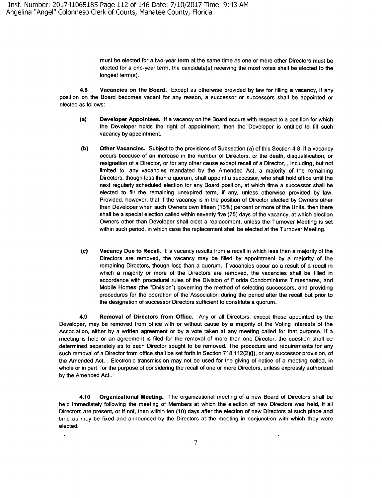must be elected for a two-year term at the same time as one or more other Directors must be elected for a one-year term, the candidate(s) receiving the most votes shall be elected to the longest term(s).

**4.8 Vacancies on the Board.** Except as otherwise provided by law for filling a vacancy, if any position on the Board becomes vacant for any reason, a successor or successors shall be appointed or elected as follows:

- **(a) Developer Appointees.** If a vacancy on the Board occurs with respect to a position for which the Developer holds the right of appointment, then the Developer is entitled to fill such vacancy by appointment.
- **(b) Other Vacancies.** Subject to the provisions of Subsection (a) of this Section 4.8, if a vacancy occurs because of an increase in the number of Directors, or the death, disqualification, or resignation of a Director, or for any other cause except recall of a Director, , including, but not limited to, any vacancies mandated by the Amended Act, a majority of the remaining Directors, though less than a quorum, shall appoint a successor, who shall hold office until the next regularly scheduled election for any Board position, at which time a successor shall be elected to fill the remaining unexpired term, if any, unless otherwise provided by law. Provided, however, that if the vacancy is in the position of Director elected by Owners other than Developer when such Owners own fifteen ( 15%) percent or more of the Units, then there shall be a special election called within seventy five (75) days of the vacancy, at which election Owners other than Developer shall elect a replacement, unless the Turnover Meeting is set within such period, in which case the replacement shall be elected at the Turnover Meeting.
- (c) **Vacancy Due to Recall.** If a vacancy results from a recall in which less than a majority of the Directors are removed, the vacancy may be filled by appointment by a majority of the remaining Directors, though less than a quorum. If vacancies occur as a result of a recall in which a majority or more of the Directors are removed, the vacancies shall be filled in accordance with procedural rules of the Division of Florida Condominiums Timeshares, and Mobile Homes (the "Division") governing the method of selecting successors, and providing procedures for the operation of the Association during the period after the recall but prior to the designation of successor Directors sufficient to constitute a quorum.

**4.9 Removal of Directors from Office.** Any or all Directors, except those appointed by the Developer, may be removed from office with or without cause by a majority of the Voting Interests of the Association, either by a written agreement or by a vote taken at any meeting called for that purpose. If a meeting is held or an agreement is filed for the removal of more than one Director, the question shall be determined separately as to each Director sought to be removed. The procedure and requirements for any such removal of a Director from office shall be set forth in Section 718.112(2)(i), or any successor provision, of the Amended Act. . Electronic transmission may not be used for the giving of notice of a meeting called, in whole or in part, for the purpose of considering the recall of one or more Directors, unless expressly authorized by the Amended Act..

**4.10 Organizational Meeting.** The organizational meeting of a new Board of Directors shall be held immediately following the meeting of Members at which the election of new Directors was held, if all Directors are present, or if not, then within ten (10) days after the election of new Directors at such place and time as may be fixed and announced by the Directors at the meeting in conjunction with which they were elected.

 $\ddot{\phantom{1}}$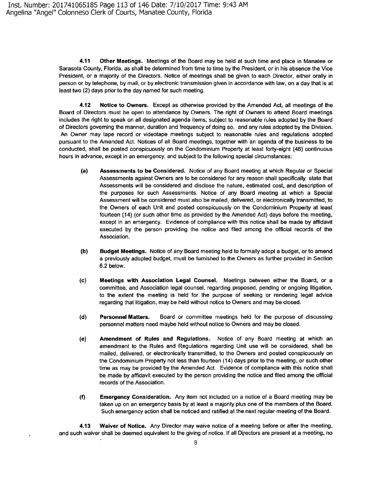**4.11 Other Meetings.** Meetings of the Board may be held at such time and place in Manatee or Sarasota County, Florida, as shall be determined from time to time by the President, or in his absence the Vice President, or a majority of the Directors. Notice of meetings shall be given to each Director, either orally in person or by telephone, by mail, or by electronic transmission given in accordance with law, on a day that is at least two (2) days prior to the day named for such meeting.

**4.12 Notice to Owners.** Except as otherwise provided by the Amended Act, all meetings of the Board of Directors must be open to attendance by Owners. The right of Owners to attend Board meetings includes the right to speak on all designated agenda items, subject to reasonable rules adopted by the Board of Directors governing the manner, duration and frequency of doing so, and any rules adopted by the Division. An Owner may tape record or videotape meetings subject to reasonable rules and regulations adopted pursuant to the Amended Act. Notices of all Board meetings, together with an agenda of the business to be conducted, shall be posted conspicuously on the Condominium Property at least forty-eight (48) continuous hours in advance, except in an emergency, and subject to the following special circumstances:

- **(a) Assessments to be Considered.** Notice of any Board meeting at which Regular or Special Assessments against Owners are to be considered for any reason shall specifically state that Assessments will be considered and disclose the nature, estimated cost, and description of the purposes for such Assessments. Notice of any Board meeting at which a Special Assessment **will** be considered must also be mailed, delivered, or electronically transmitted, to the Owners of each Unit and posted conspicuously on the Condominium Property at least fourteen (14) (or such other time as provided by the Amended Act) days before the meeting, except in an emergency. Evidence of compliance with this notice shall be made by affidavit executed by the person providing the notice and filed among the official records of the Association.
- (b) **Budget Meetings.** Notice of any Board meeting held to formally adopt a budget, or to amend a previously adopted budget, must be furnished to the Owners as further provided in Section 6.2 below.
- **(c) Meetings with Association Legal Counsel.** Meetings between either the Board, or a committee, and Association legal counsel, regarding proposed, pending or ongoing litigation, to the extent the meeting is held for the purpose of seeking or rendering legal advice regarding that litigation, may be held without notice to Owners and may be closed.
- **(d) Personnel Matters.** Board or committee meetings held for the purpose of discussing personnel matters need maybe held without notice to Owners and may be closed.
- **(e) Amendment of Rules and Regulations.** Notice of any Board meeting at which an amendment to the Rules and Regulations regarding Unit use will be considered, shall be mailed, delivered, or electronically transmitted, to the Owners and posted conspicuously on the Condominium Property not less than fourteen (14) days prior to the meeting, or such other time as may be provided by the Amended Act. Evidence of compliance with this notice shall be made by affidavit executed by the person providing the notice and filed among the official records of the Association.
- **(f) Emergency Consideration.** Any item not included on a notice of a Board meeting may be taken up on an emergency basis by at least a majority plus one of the members of the Board. Such emergency action shall be noticed and ratified at the next regular meeting of the Board.

**4.13 Waiver of Notice.** Any Director may waive notice of a meeting before or after the meeting, and such waiver shall be deemed equivalent to the giving of notice. If all Directors are present at a meeting, no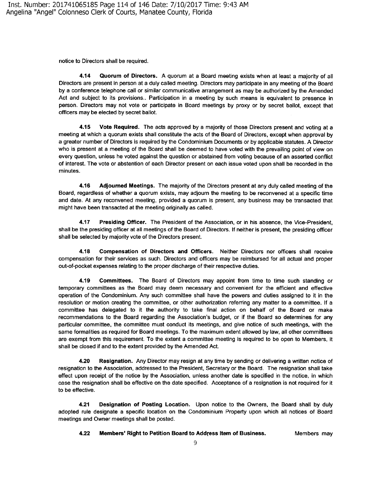notice to Directors shall be required.

**4.14 Quorum of Directors.** A quorum at a Board meeting exists when at least a majority of all Directors are present in person at a duly called meeting. Directors may participate in any meeting of the Board by a conference telephone call or similar communicative arrangement as may be authorized by the Amended Act and subject to its provisions.. Participation in a meeting by such means is equivalent to presence in person. Directors may not vote or participate in Board meetings by proxy or by secret ballot, except that officers may be elected by secret ballot.

**4.15 Vote Required.** The acts approved by a majority of those Directors present and voting at a meeting at which a quorum exists shall constitute the acts of the Board of Directors, except when approval by a greater number of Directors is required by the Condominium Documents or by applicable statutes. A Director who is present at a meeting of the Board shall be deemed to have voted with the prevailing point of view on every question, unless he voted against the question or abstained from voting because of an asserted conflict of interest. The vote or abstention of each Director present on each issue voted upon shall be recorded in the minutes.

**4.16 Adjourned Meetings.** The majority of the Directors present at any duly called meeting of the Board, regardless of whether a quorum exists, may adjourn the meeting to be reconvened at a specific time and date. At any reconvened meeting, provided a quorum is present, any business may be transacted that might have been transacted at the meeting originally as called.

**4.17 Presiding Officer.** The President of the Association, or in his absence, the Vice-President, shall be the presiding officer at all meetings of the Board of Directors. If neither is present, the presiding officer shall be selected by majority vote of the Directors present.

**4.18 Compensation of Directors and Officers.** Neither Directors nor officers shall receive compensation for their services as such. Directors and officers may be reimbursed for all actual and proper out-of-pocket expenses relating to the proper discharge of their respective duties.

**4.19 Committees.** The Board of Directors may appoint from time to time such standing or temporary committees as the Board may deem necessary and convenient for the efficient and effective operation of the Condominium. Any such committee shall have the powers and duties assigned to it in the resolution or motion creating the committee, or other authorization referring any matter to a committee. If a committee has delegated to it the authority to take final action on behalf of the Board or make recommendations to the Board regarding the Association's budget, or if the Board so determines for any particular committee, the committee must conduct its meetings, and give notice of such meetings, with the same formalities as required for Board meetings. To the maximum extent allowed by law, all other committees are exempt from this requirement. To the extent a committee meeting is required to be open to Members, it shall be closed if and to the extent provided by the Amended Act.

**4.20 Resignation.** Any Director may resign at any time by sending or delivering a written notice of resignation to the Association, addressed to the President, Secretary or the Board. The resignation shall take effect upon receipt of the notice by the Association, unless another date is specified in the notice, in which case the resignation shall be effective on the date specified. Acceptance of a resignation is not required for it to be effective.

**4.21 Designation of Posting Location.** Upon notice to the Owners, the Board shall by duly adopted rule designate a specific location on the Condominium Property upon which all notices of Board meetings and Owner meetings shall be posted.

**4.22 Members' Right to Petition Board to Address Item of Business.** Members may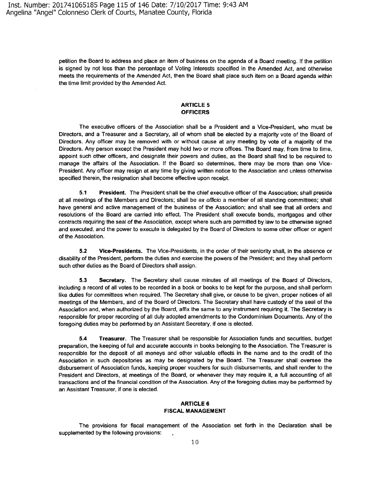petition the Board to address and place an item of business on the agenda of a Board meeting. If the petition is signed by not less than the percentage of Voting Interests specified in the Amended Act, and otherwise meets the requirements of the Amended Act, then the Board shall place such item on a Board agenda within the time limit provided by the Amended Act.

#### **ARTICLE 5 OFFICERS**

The executive officers of the Association shall be a President and a Vice-President, who must be Directors, and a Treasurer and a Secretary, all of whom shall be elected by a majority vote of the Board of Directors. Any officer may be removed with or without cause at any meeting by vote of a majority of the Directors. Any person except the President may hold two or more offices. The Board may, from time to time, appoint such other officers, and designate their powers and duties, as the Board shall find to be required to manage the affairs of the Association. If the Board so determines, there may be more than one Vice-President. Any officer may resign at any time by giving written notice to the Association and unless otherwise specified therein, the resignation shall become effective upon receipt.

**5.1 President.** The President shall be the chief executive officer of the Association; shall preside at all meetings of the Members and Directors; shall be ex officio a member of all standing committees; shall have general and active management of the business of the Association; and shall see that all orders and resolutions of the Board are carried into effect. The President shall execute bonds, mortgages and other contracts requiring the seal of the Association, except where such are permitted by law to be otherwise signed and executed, and the power to execute is delegated by the Board of Directors to some other officer or agent of the Association.

**5.2 Vice-Presidents.** The Vice-Presidents, in the order of their seniority shall, in the absence or disability of the President, perform the duties and exercise the powers of the President; and they shall perform such other duties as the Board of Directors shall assign.

**5.3 Secretary.** The Secretary shall cause minutes of all meetings of the Board of Directors, including a record of all votes to be recorded in a book or books to be kept for the purpose, and shall perform like duties for committees when required. The Secretary shall give, or cause to be given, proper notices of all meetings of the Members, and of the Board of Directors. The Secretary shall have custody of the seal of the Association and, when authorized by the Board, affix the same to any instrument requiring it. The Secretary is responsible for proper recording of all duly adopted amendments to the Condominium Documents. Any of the foregoing duties may be performed by an Assistant Secretary, if one is elected.

**5.4 Treasurer.** The Treasurer shall be responsible for Association funds and securities, budget preparation, the keeping of full and accurate accounts in books belonging to the Association. The Treasurer is responsible for the deposit of all moneys and other valuable effects in the name and to the credit of the Association in such depositories as may be designated by the Board. The Treasurer shall oversee the disbursement of Association funds, keeping proper vouchers for such disbursements, and shall render to the President and Directors, at meetings of the Board, or whenever they may require it, a full accounting of all transactions and of the financial condition of the Association. Any of the foregoing duties may be performed by an Assistant Treasurer, if one is elected.

#### **ARTICLE& FISCAL MANAGEMENT**

The provisions for fiscal management of the Association set forth in the Declaration shall be supplemented by the following provisions: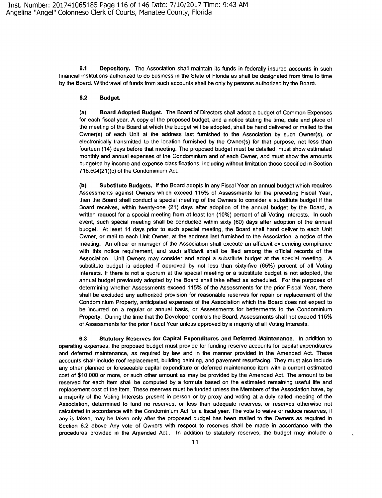**6.1 Depository.** The Association shall maintain its funds in federally insured accounts in such financial institutions authorized to do business in the State of Florida as shall be designated from time to time by the Board. Withdrawal of funds from such accounts shall be only by persons authorized by the Board.

#### **6.2 Budget.**

**(a) Board Adopted Budget.** The Board of Directors shall adopt a budget of Common Expenses for each fiscal year. **A** copy of the proposed budget, and a notice stating the time, date and place of the meeting of the Board at which the budget will be adopted, shall be hand delivered or mailed to the Owner(s) of each Unit at the address last furnished to the Association by such Owner{s), or electronically transmitted to the location furnished by the Owner{s) for that purpose, not less than fourteen (14) days before that meeting. The proposed budget must be detailed, must show estimated monthly and annual expenses of the Condominium and of each Owner, and must show the amounts budgeted by income and expense classifications, including without limitation those specified in Section 718.504(21 )(c) of the Condominium Act.

**{b) Substitute Budgets.** If the Board adopts in any Fiscal Year an annual budget which requires Assessments against Owners which exceed 115% of Assessments for the preceding Fiscal Year, then the Board shall conduct a special meeting of the Owners to consider a substitute budget if the Board receives, within twenty-one (21) days after adoption of the annual budget by the Board, a written request for a special meeting from at least ten (10%) percent of all Voting Interests. In such event, such special meeting shall be conducted within sixty {60) days after adoption of the annual budget. At least 14 days prior to such special meeting, the Board shall hand deliver to each Unit Owner, or mail to each Unit Owner, at the address last furnished to the Association, a notice of the meeting. An officer or manager of the Association shall execute an affidavit evidencing compliance with this notice requirement, and such affidavit shall be filed among the official records of the Association. Unit Owners may consider and adopt a substitute budget at the special meeting. A substitute budget is adopted if approved by not less than sixty-five (65%) percent of all Voting Interests. If there is not a quorum at the special meeting or a substitute budget is not adopted, the annual budget previously adopted by the Board shall take effect as scheduled. For the purposes of determining whether Assessments exceed 115% of the Assessments for the prior Fiscal Year, there shall be excluded any authorized provision for reasonable reserves for repair or replacement of the Condominium Property, anticipated expenses of the Association which the Board does not expect to be incurred on a regular or annual basis, or Assessments for betterments to the Condominium Property. During the time that the Developer controls the Board, Assessments shall not exceed 115% of Assessments for the prior Fiscal Year unless approved by a majority of all Voting Interests.

**6.3 Statutory Reserves for Capital Expenditures and Deferred Maintenance.** In addition to operating expenses, the proposed budget must provide for funding reserve accounts for capital expenditures and deferred maintenance, as required by law and in the manner provided in the Amended Act. These accounts shall include roof replacement, building painting, and pavement resurfacing. They must also include any other planned or foreseeable capital expenditure or deferred maintenance item with a current estimated cost of \$10,000 or more, or such other amount as may be provided by the Amended Act. The amount to be reserved for each item shall be computed by a formula based on the estimated remaining useful life and replacement cost of the item. These reserves must be funded unless the Members of the Association have, by a majority of the Voting Interests present in person or by proxy and voting at a duly called meeting of the Association, determined to fund no reserves, or less than adequate reserves, or reserves otherwise not calculated in accordance with the Condominium Act for a fiscal year. The vote to waive or reduce reserves, if any is taken, may be taken only after the proposed budget has been mailed to the Owners as required in Section 6.2 above Any vote of Owners with respect to reserves shall be made in accordance with the procedures provided in the Arnended Act.. In addition to statutory reserves, the budget may include a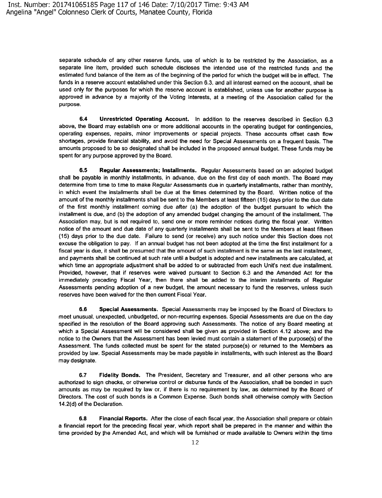separate schedule of any other reserve funds, use of which is to be restricted by the Association, as a separate line item, provided such schedule discloses the intended use of the restricted funds and the estimated fund balance of the item as of the beginning of the period for which the budget will be in effect. The funds in a reserve account established under this Section 6.3, and all interest earned on the account, shall be used only for the purposes for which the reserve account is established, unless use for another purpose is approved in advance by a majority of the Voting Interests, at a meeting of the Association called for the purpose.

**6.4 Unrestricted Operating Account.** In addition to the reserves described in Section 6.3 above, the Board may establish one or more additional accounts in the operating budget for contingencies, operating expenses, repairs, minor improvements or special projects. These accounts offset cash flow shortages, provide financial stability, and avoid the need for Special Assessments on a frequent basis. The amounts proposed to be so designated shall be included in the proposed annual budget. These funds may be spent for any purpose approved by the Board.

**6.5 Regular Assessments; Installments.** Regular Assessments based on an adopted budget shall be payable in monthly installments, in advance, due on the first day of each month. The Board may determine from time to time to make Regular Assessments due in quarterly installments, rather than monthly, in which event the installments shall be due at the times determined by the Board. Written notice of the amount of the monthly installments shall be sent to the Members at least fifteen (15) days prior to the due date of the first monthly installment coming due after (a) the adoption of the budget pursuant to which the installment is due, and (b) the adoption of any amended budget changing the amount of the installment. The Association may, but is not required to, send one or more reminder notices during the fiscal year. Written notice of the amount and due date of any quarterly installments shall be sent to the Members at least fifteen (15) days prior to the due date. Failure to send (or receive) any such notice under this Section does not excuse the obligation to pay. If an annual budget has not been adopted at the time the first installment for a fiscal year is due, it shall be presumed that the amount of such installment is the same as the last installment, and payments shall be continued at such rate until a budget is adopted and new installments are calculated, at which time an appropriate adjustment shall be added to or subtracted from each Unit's next due installment. Provided, however, that if reserves were waived pursuant to Section 6.3 and the Amended Act for the immediately preceding Fiscal Year, then there shall be added to the interim installments of Regular Assessments pending adoption of a new budget, the amount necessary to fund the reserves, unless such reserves have been waived for the then current Fiscal Year.

**6.6 Special Assessments.** Special Assessments may be imposed by the Board of Directors to meet unusual, unexpected, unbudgeted, or non-recurring expenses. Special Assessments are due on the day specified in the resolution of the Board approving such Assessments. The notice of any Board meeting at which a Special Assessment will be considered shall be given as provided in Section 4.12 above; and the notice to the Owners that the Assessment has been levied must contain a statement of the purpose(s) of the Assessment. The funds collected must be spent for the stated purpose(s) or returned to the Members as provided by law. Special Assessments may be made payable in installments, with such interest as the Board may designate.

**6.7 Fidelity Bonds.** The President, Secretary and Treasurer, and all other persons who are authorized to sign checks, or otherwise control or disburse funds of the Association, shall be bonded in such amounts as may be required by law or, if there is no requirement by law, as determined by the Board of Directors. The cost of such bonds is a Common Expense. Such bonds shall otherwise comply with Section 14.2(d) of the Declaration.

**6.8 Financial Reports.** After the close of each fiscal year, the Association shall prepare or obtain a financial report for the preceding fiscal year, which report shall be prepared in the manner and within the time provided by the Amended Act, and which will be furnished or made available to Owners within the time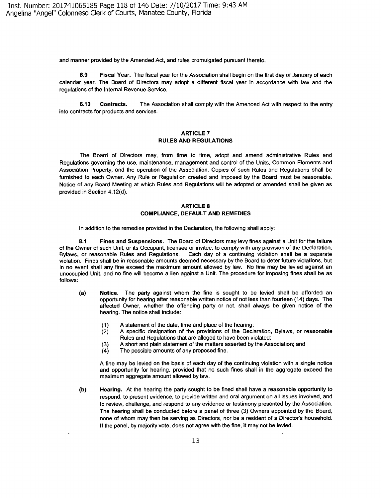and manner provided by the Amended Act, and rules promulgated pursuant thereto.

**6.9 Fiscal Year.** The fiscal year for the Association shall begin on the first day of January of each calendar year. The Board of Directors may adopt a different fiscal year in accordance with law and the regulations of the Internal Revenue Service.

**6.10 Contracts.** The Association shall comply with the Amended Act with respect to the entry into contracts for products and services.

#### **ARTICLE7 RULES AND REGULATIONS**

The Board of Directors may, from time to time, adopt and amend administrative Rules and Regulations governing the use, maintenance, management and control of the Units, Common Elements and Association Property, and the operation of the Association. Copies of such Rules and Regulations shall be furnished to each Owner. Any Rule or Regulation created and imposed by the Board must be reasonable. Notice of any Board Meeting at which Rules and Regulations will be adopted or amended shall be given as provided in Section 4.12(d).

#### **ARTICLE 8 COMPLIANCE, DEFAULT AND REMEDIES**

In addition to the remedies provided in the Declaration, the following shall apply:

**8.1 Fines and Suspensions.** The Board of Directors may levy fines against a Unit for the failure of the Owner of such Unit, or its Occupant, licensee or invitee, to comply with any provision of the Declaration, Bylaws, or reasonable Rules and Regulations. Each day of a continuing violation shall be a separate violation. Fines shall be in reasonable amounts deemed necessary by the Board to deter future violations, but in no event shall any fine exceed the maximum amount allowed by law. No fine may be levied against an unoccupied Unit, and no fine will become a lien against a Unit. The procedure for imposing fines shall be as follows:

- **(a) Notice.** The party against whom the fine is sought to be levied shall be afforded an opportunity for hearing after reasonable written notice of not less than fourteen (14) days. The affected Owner, whether the offending party or not, shall always be given notice of the hearing. The notice shall include:
	- (1) A statement of the date, time and place of the hearing;
	- (2) A specific designation of the provisions of the Declaration, Bylaws, or reasonable Rules and Regulations that are alleged to have been violated;
	- (3) A short and plain statement of the matters asserted by the Association; and
	- (4) The possible amounts of any proposed fine.

A fine may be levied on the basis of each day of the continuing violation with a single notice and opportunity for hearing, provided that no such fines shall in the aggregate exceed the maximum aggregate amount allowed by law.

**(b) Hearing.** At the hearing the party sought to be fined shall have a reasonable opportunity to respond, to present evidence, to provide written and oral argument on all issues involved, and to review, challenge, and respond to any evidence or testimony presented by the Association. The hearing shall be conducted before a panel of three (3) Owners appointed by the Board, none of whom may then be serving as Directors, nor be a resident of a Director's household. If the panel, by majority vote, does not agree with the fine, it may not be levied.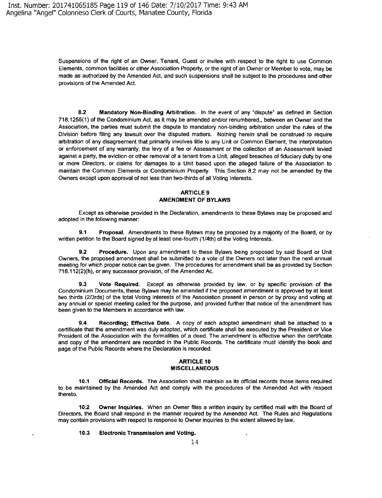Suspensions of the right of an Owner, Tenant, Guest or invitee with respect to the right to use Common Elements, common facilities or other Association Property, or the right of an Owner or Member to vote, may be made as authorized by the Amended Act, and such suspensions shall be subject to the procedures and other provisions of the Amended Act.

**8.2 Mandatory Non-Binding Arbitration.** In the event of any "dispute" as defined in Section 718.1255( 1) of the Condominium Act, as it may be amended and/or renumbered,, between an Owner and the Association, the parties must submit the dispute to mandatory non-binding arbitration under the rules of the Division before filing any lawsuit over the disputed matters. Nothing herein shall be construed to require arbitration of any disagreement that primarily involves title to any Unit or Common Element, the interpretation or enforcement of any warranty, the levy of a fee or Assessment or the collection of an Assessment levied against a party, the eviction or other removal of a tenant from a Unit, alleged breaches of fiduciary duty by one or more Directors, or claims for damages to a Unit based upon the alleged failure of the Association to maintain the Common Elements or Condominium Property. This Section 8.2 may not be amended by the Owners except upon approval of not less than two-thirds of all Voting Interests.

#### **ARTICLE9 AMENDMENT OF BYLAWS**

Except as otherwise provided in the Declaration, amendments to these Bylaws may be proposed and adopted in the following manner:

**9.1 Proposal.** Amendments to these Bylaws may be proposed by a majority of the Board, or by written petition to the Board signed by at least one-fourth (114th) of the Voting Interests.

**9.2 Procedure.** Upon any amendment to these Bylaws being proposed by said Board or Unit Owners, the proposed amendment shall be submitted to a vote of the Owners not later than the next annual meeting for which proper notice can be given. The procedures for amendment shall be as provided by Section 718.112(2)(h), or any successor provision, of the Amended Ac.

**9.3** Vote Required. Except as otherwise provided by law, or by specific provision of the Condominium Documents, these Bylaws may be amended if the proposed amendment is approved by at least two thirds (2/3rds) of the total Voting Interests of the Association present in person or by proxy and voting at any annual or special meeting called for the purpose, and provided further that notice of the amendment has been given to the Members in accordance with law.

**9.4 Recording; Effective Date.** A copy of each adopted amendment shall be attached to a certificate that the amendment was duly adopted, which certificate shall be executed by the President or Vice President of the Association with the formalities of a deed. The amendment is effective when the certificate and copy of the amendment are recorded in the Public Records. The certificate must identify the book and page of the Public Records where the Declaration is recorded.

#### **ARTICLE 10 MISCELLANEOUS**

**10.1 Official Records.** The Association shall maintain as its official records those items required to be maintained by the Amended Act and comply with the procedures of the Amended Act with respect thereto.

**10.2 Owner Inquiries.** When an Owner files a written inquiry by certified mail with the Board of Directors, the Board shall respond in the manner required by the Amended Act. The Rules and Regulations may contain provisions with respect to response to Owner inquiries to the extent allowed by law.

**10.3 Electronic Transmission and Voting.**